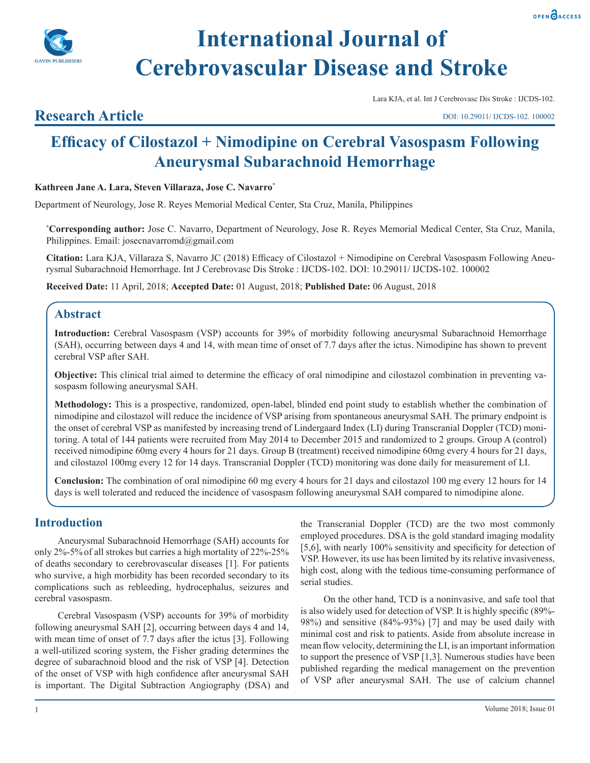



# **International Journal of Cerebrovascular Disease and Stroke**

Lara KJA, et al. Int J Cerebrovasc Dis Stroke : IJCDS-102.

# **Research Article**

DOI: 10.29011/ IJCDS-102. 100002

# **Efficacy of Cilostazol + Nimodipine on Cerebral Vasospasm Following Aneurysmal Subarachnoid Hemorrhage**

**Kathreen Jane A. Lara, Steven Villaraza, Jose C. Navarro\***

Department of Neurology, Jose R. Reyes Memorial Medical Center, Sta Cruz, Manila, Philippines

**\* Corresponding author:** Jose C. Navarro, Department of Neurology, Jose R. Reyes Memorial Medical Center, Sta Cruz, Manila, Philippines. Email: josecnavarromd@gmail.com

**Citation:** Lara KJA, Villaraza S, Navarro JC (2018) Efficacy of Cilostazol + Nimodipine on Cerebral Vasospasm Following Aneurysmal Subarachnoid Hemorrhage. Int J Cerebrovasc Dis Stroke : IJCDS-102. DOI: 10.29011/ IJCDS-102. 100002

**Received Date:** 11 April, 2018; **Accepted Date:** 01 August, 2018; **Published Date:** 06 August, 2018

## **Abstract**

**Introduction:** Cerebral Vasospasm (VSP) accounts for 39% of morbidity following aneurysmal Subarachnoid Hemorrhage (SAH), occurring between days 4 and 14, with mean time of onset of 7.7 days after the ictus. Nimodipine has shown to prevent cerebral VSP after SAH.

**Objective:** This clinical trial aimed to determine the efficacy of oral nimodipine and cilostazol combination in preventing vasospasm following aneurysmal SAH.

**Methodology:** This is a prospective, randomized, open-label, blinded end point study to establish whether the combination of nimodipine and cilostazol will reduce the incidence of VSP arising from spontaneous aneurysmal SAH. The primary endpoint is the onset of cerebral VSP as manifested by increasing trend of Lindergaard Index (LI) during Transcranial Doppler (TCD) monitoring. A total of 144 patients were recruited from May 2014 to December 2015 and randomized to 2 groups. Group A (control) received nimodipine 60mg every 4 hours for 21 days. Group B (treatment) received nimodipine 60mg every 4 hours for 21 days, and cilostazol 100mg every 12 for 14 days. Transcranial Doppler (TCD) monitoring was done daily for measurement of LI.

**Conclusion:** The combination of oral nimodipine 60 mg every 4 hours for 21 days and cilostazol 100 mg every 12 hours for 14 days is well tolerated and reduced the incidence of vasospasm following aneurysmal SAH compared to nimodipine alone.

# **Introduction**

Aneurysmal Subarachnoid Hemorrhage (SAH) accounts for only 2%-5%of all strokes but carries a high mortality of 22%-25% of deaths secondary to cerebrovascular diseases [1]. For patients who survive, a high morbidity has been recorded secondary to its complications such as rebleeding, hydrocephalus, seizures and cerebral vasospasm.

Cerebral Vasospasm (VSP) accounts for 39% of morbidity following aneurysmal SAH [2], occurring between days 4 and 14, with mean time of onset of 7.7 days after the ictus [3]. Following a well-utilized scoring system, the Fisher grading determines the degree of subarachnoid blood and the risk of VSP [4]. Detection of the onset of VSP with high confidence after aneurysmal SAH is important. The Digital Subtraction Angiography (DSA) and the Transcranial Doppler (TCD) are the two most commonly employed procedures. DSA is the gold standard imaging modality [5,6], with nearly 100% sensitivity and specificity for detection of VSP. However, its use has been limited by its relative invasiveness, high cost, along with the tedious time-consuming performance of serial studies.

On the other hand, TCD is a noninvasive, and safe tool that is also widely used for detection of VSP. It is highly specific (89%- 98%) and sensitive (84%-93%) [7] and may be used daily with minimal cost and risk to patients. Aside from absolute increase in mean flow velocity, determining the LI, is an important information to support the presence of VSP [1,3]. Numerous studies have been published regarding the medical management on the prevention of VSP after aneurysmal SAH. The use of calcium channel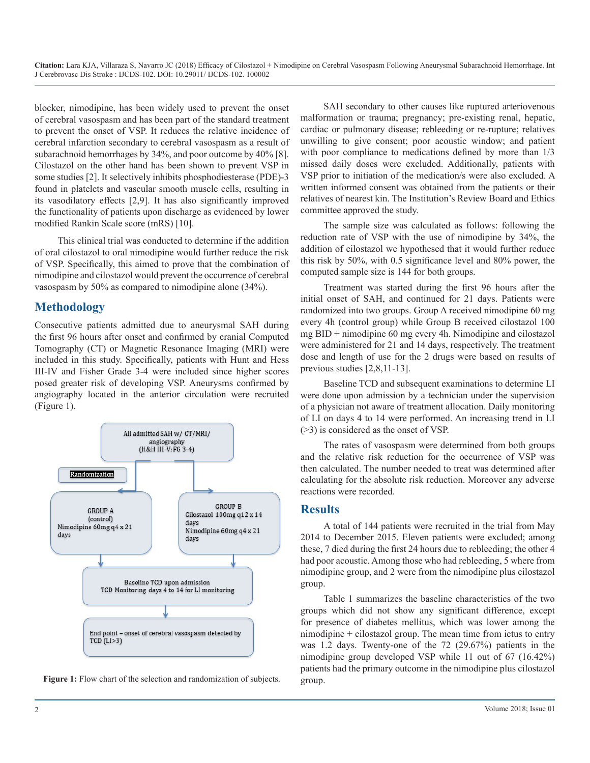**Citation:** Lara KJA, Villaraza S, Navarro JC (2018) Efficacy of Cilostazol + Nimodipine on Cerebral Vasospasm Following Aneurysmal Subarachnoid Hemorrhage. Int J Cerebrovasc Dis Stroke : IJCDS-102. DOI: 10.29011/ IJCDS-102. 100002

blocker, nimodipine, has been widely used to prevent the onset of cerebral vasospasm and has been part of the standard treatment to prevent the onset of VSP. It reduces the relative incidence of cerebral infarction secondary to cerebral vasospasm as a result of subarachnoid hemorrhages by 34%, and poor outcome by 40% [8]. Cilostazol on the other hand has been shown to prevent VSP in some studies [2]. It selectively inhibits phosphodiesterase (PDE)-3 found in platelets and vascular smooth muscle cells, resulting in its vasodilatory effects [2,9]. It has also significantly improved the functionality of patients upon discharge as evidenced by lower modified Rankin Scale score (mRS) [10].

This clinical trial was conducted to determine if the addition of oral cilostazol to oral nimodipine would further reduce the risk of VSP. Specifically, this aimed to prove that the combination of nimodipine and cilostazol would prevent the occurrence of cerebral vasospasm by 50% as compared to nimodipine alone (34%).

### **Methodology**

Consecutive patients admitted due to aneurysmal SAH during the first 96 hours after onset and confirmed by cranial Computed Tomography (CT) or Magnetic Resonance Imaging (MRI) were included in this study. Specifically, patients with Hunt and Hess III-IV and Fisher Grade 3-4 were included since higher scores posed greater risk of developing VSP. Aneurysms confirmed by angiography located in the anterior circulation were recruited (Figure 1).





SAH secondary to other causes like ruptured arteriovenous malformation or trauma; pregnancy; pre-existing renal, hepatic, cardiac or pulmonary disease; rebleeding or re-rupture; relatives unwilling to give consent; poor acoustic window; and patient with poor compliance to medications defined by more than  $1/3$ missed daily doses were excluded. Additionally, patients with VSP prior to initiation of the medication/s were also excluded. A written informed consent was obtained from the patients or their relatives of nearest kin. The Institution's Review Board and Ethics committee approved the study.

The sample size was calculated as follows: following the reduction rate of VSP with the use of nimodipine by 34%, the addition of cilostazol we hypothesed that it would further reduce this risk by 50%, with 0.5 significance level and 80% power, the computed sample size is 144 for both groups.

Treatment was started during the first 96 hours after the initial onset of SAH, and continued for 21 days. Patients were randomized into two groups. Group A received nimodipine 60 mg every 4h (control group) while Group B received cilostazol 100 mg BID + nimodipine 60 mg every 4h. Nimodipine and cilostazol were administered for 21 and 14 days, respectively. The treatment dose and length of use for the 2 drugs were based on results of previous studies [2,8,11-13].

Baseline TCD and subsequent examinations to determine LI were done upon admission by a technician under the supervision of a physician not aware of treatment allocation. Daily monitoring of LI on days 4 to 14 were performed. An increasing trend in LI (>3) is considered as the onset of VSP.

The rates of vasospasm were determined from both groups and the relative risk reduction for the occurrence of VSP was then calculated. The number needed to treat was determined after calculating for the absolute risk reduction. Moreover any adverse reactions were recorded.

#### **Results**

A total of 144 patients were recruited in the trial from May 2014 to December 2015. Eleven patients were excluded; among these, 7 died during the first 24 hours due to rebleeding; the other 4 had poor acoustic. Among those who had rebleeding, 5 where from nimodipine group, and 2 were from the nimodipine plus cilostazol group.

Table 1 summarizes the baseline characteristics of the two groups which did not show any significant difference, except for presence of diabetes mellitus, which was lower among the nimodipine + cilostazol group. The mean time from ictus to entry was 1.2 days. Twenty-one of the 72 (29.67%) patients in the nimodipine group developed VSP while 11 out of 67 (16.42%) patients had the primary outcome in the nimodipine plus cilostazol group.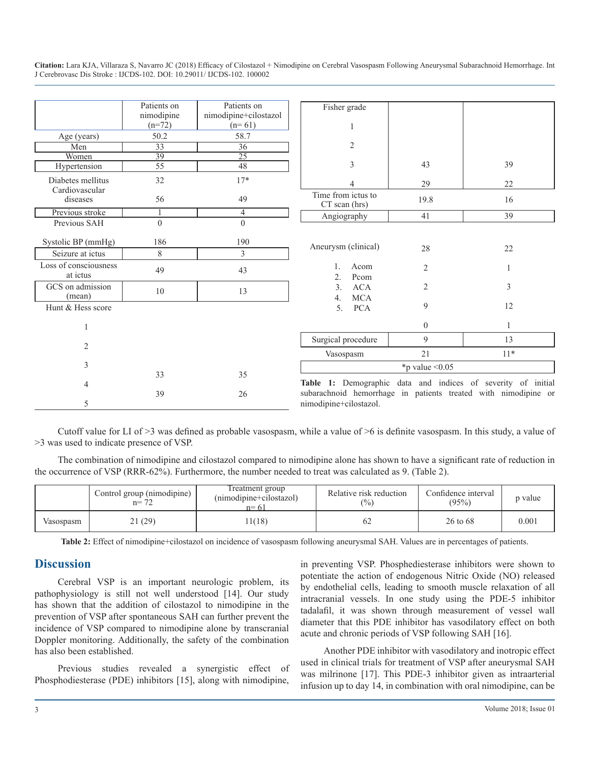| Citation: Lara KJA, Villaraza S, Navarro JC (2018) Efficacy of Cilostazol + Nimodipine on Cerebral Vasospasm Following Aneurysmal Subarachnoid Hemorrhage. Int |  |
|----------------------------------------------------------------------------------------------------------------------------------------------------------------|--|
| J Cerebrovasc Dis Stroke : IJCDS-102. DOI: 10.29011/ IJCDS-102. 100002                                                                                         |  |

|                                   | Patients on     | Patients on             | Fisher grade                         |                  |                                                                |  |
|-----------------------------------|-----------------|-------------------------|--------------------------------------|------------------|----------------------------------------------------------------|--|
|                                   | nimodipine      | nimodipine+cilostazol   |                                      |                  |                                                                |  |
|                                   | $(n=72)$        | $(n=61)$                |                                      |                  |                                                                |  |
| Age (years)                       | 50.2            | 58.7                    |                                      |                  |                                                                |  |
| Men                               | 33              | 36                      | $\overline{2}$                       |                  |                                                                |  |
| Women                             | $\overline{39}$ | $\overline{25}$         |                                      |                  |                                                                |  |
| Hypertension                      | 55              | 48                      | 3                                    | 43               | 39                                                             |  |
| Diabetes mellitus                 | 32              | $17*$                   |                                      | 29               | 22                                                             |  |
| Cardiovascular<br>diseases        | 56              | 49                      | Time from ictus to<br>CT scan (hrs)  | 19.8             | 16                                                             |  |
| Previous stroke                   | $\mathbf{1}$    | $\overline{4}$          | Angiography                          | 41               | 39                                                             |  |
| Previous SAH                      | $\theta$        | $\Omega$                |                                      |                  |                                                                |  |
| Systolic BP (mmHg)                | 186             | 190                     | Aneurysm (clinical)                  | 28               | 22                                                             |  |
| Seizure at ictus                  | $\,$ 8 $\,$     | $\overline{\mathbf{3}}$ |                                      |                  |                                                                |  |
| Loss of consciousness<br>at ictus | 49              | 43                      | $\mathbf{1}$ .<br>Acom<br>Pcom<br>2. | 2                |                                                                |  |
| GCS on admission<br>(mean)        | 10              | 13                      | 3.<br><b>ACA</b><br><b>MCA</b><br>4. | 2                | 3                                                              |  |
| Hunt & Hess score                 |                 |                         | <b>PCA</b><br>5.                     | 9                | 12                                                             |  |
|                                   |                 |                         |                                      | $\boldsymbol{0}$ |                                                                |  |
| $\overline{2}$                    |                 |                         | Surgical procedure                   | 9                | 13                                                             |  |
|                                   |                 |                         | Vasospasm                            | 21               | $11*$                                                          |  |
| 3                                 |                 |                         | *p value $\leq 0.05$                 |                  |                                                                |  |
|                                   | 33              | 35                      |                                      |                  | Table 1: Demographic data and indices of severity of initial   |  |
|                                   | 39              | 26                      |                                      |                  | subarachnoid hemorrhage in patients treated with nimodipine or |  |
| 5                                 |                 |                         | nimodipine+cilostazol.               |                  |                                                                |  |

Cutoff value for LI of >3 was defined as probable vasospasm, while a value of >6 is definite vasospasm. In this study, a value of >3 was used to indicate presence of VSP.

The combination of nimodipine and cilostazol compared to nimodipine alone has shown to have a significant rate of reduction in the occurrence of VSP (RRR-62%). Furthermore, the number needed to treat was calculated as 9. (Table 2).

|           | Control group (nimodipine)<br>$n = 72$ | Treatment group<br>(nimodipine+cilostazol)<br>$n = 61$ | Relative risk reduction<br>(%) | Confidence interval<br>(95%) | p value |
|-----------|----------------------------------------|--------------------------------------------------------|--------------------------------|------------------------------|---------|
| Vasospasm | 21 (29)                                | 1(18)                                                  |                                | 26 to 68                     | 0.001   |

**Table 2:** Effect of nimodipine+cilostazol on incidence of vasospasm following aneurysmal SAH. Values are in percentages of patients.

#### **Discussion**

Cerebral VSP is an important neurologic problem, its pathophysiology is still not well understood [14]. Our study has shown that the addition of cilostazol to nimodipine in the prevention of VSP after spontaneous SAH can further prevent the incidence of VSP compared to nimodipine alone by transcranial Doppler monitoring. Additionally, the safety of the combination has also been established.

Previous studies revealed a synergistic effect of Phosphodiesterase (PDE) inhibitors [15], along with nimodipine,

in preventing VSP. Phosphediesterase inhibitors were shown to potentiate the action of endogenous Nitric Oxide (NO) released by endothelial cells, leading to smooth muscle relaxation of all intracranial vessels. In one study using the PDE-5 inhibitor tadalafil, it was shown through measurement of vessel wall diameter that this PDE inhibitor has vasodilatory effect on both acute and chronic periods of VSP following SAH [16].

Another PDE inhibitor with vasodilatory and inotropic effect used in clinical trials for treatment of VSP after aneurysmal SAH was milrinone [17]. This PDE-3 inhibitor given as intraarterial infusion up to day 14, in combination with oral nimodipine, can be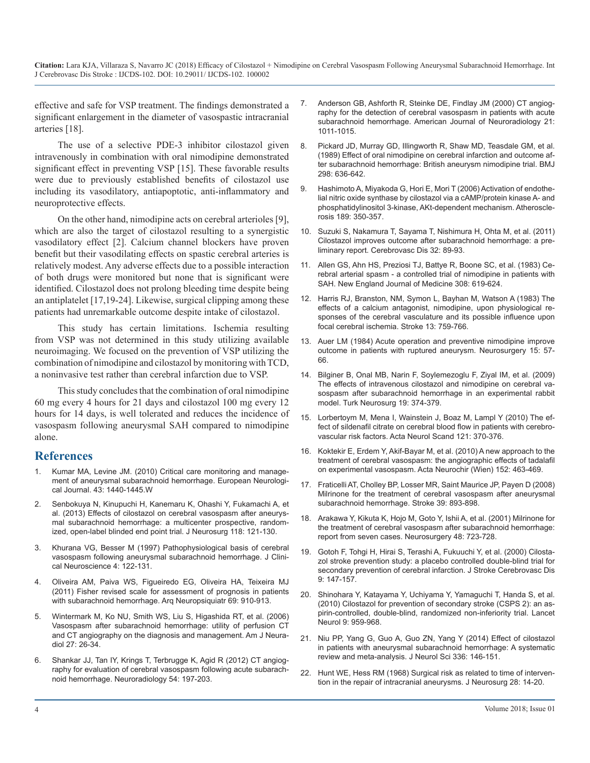**Citation:** Lara KJA, Villaraza S, Navarro JC (2018) Efficacy of Cilostazol + Nimodipine on Cerebral Vasospasm Following Aneurysmal Subarachnoid Hemorrhage. Int J Cerebrovasc Dis Stroke : IJCDS-102. DOI: 10.29011/ IJCDS-102. 100002

effective and safe for VSP treatment. The findings demonstrated a significant enlargement in the diameter of vasospastic intracranial arteries [18].

The use of a selective PDE-3 inhibitor cilostazol given intravenously in combination with oral nimodipine demonstrated significant effect in preventing VSP [15]. These favorable results were due to previously established benefits of cilostazol use including its vasodilatory, antiapoptotic, anti-inflammatory and neuroprotective effects.

On the other hand, nimodipine acts on cerebral arterioles [9], which are also the target of cilostazol resulting to a synergistic vasodilatory effect [2]. Calcium channel blockers have proven benefit but their vasodilating effects on spastic cerebral arteries is relatively modest. Any adverse effects due to a possible interaction of both drugs were monitored but none that is significant were identified. Cilostazol does not prolong bleeding time despite being an antiplatelet [17,19-24]. Likewise, surgical clipping among these patients had unremarkable outcome despite intake of cilostazol.

This study has certain limitations. Ischemia resulting from VSP was not determined in this study utilizing available neuroimaging. We focused on the prevention of VSP utilizing the combination of nimodipine and cilostazol by monitoring with TCD, a noninvasive test rather than cerebral infarction due to VSP.

This study concludes that the combination of oral nimodipine 60 mg every 4 hours for 21 days and cilostazol 100 mg every 12 hours for 14 days, is well tolerated and reduces the incidence of vasospasm following aneurysmal SAH compared to nimodipine alone.

#### **References**

- Kumar MA, Levine JM. (2010) Critical care monitoring and management of aneurysmal subarachnoid hemorrhage. European Neurological Journal. 43: 1440-1445.W
- 2. [Senbokuya N, Kinupuchi H, Kanemaru K, Ohashi Y, Fukamachi A, et](https://www.ncbi.nlm.nih.gov/pubmed/23039152)  al. (2013) Effects of cilostazol on cerebral vasospasm after aneurys[mal subarachnoid hemorrhage: a multicenter prospective, random](https://www.ncbi.nlm.nih.gov/pubmed/23039152)[ized, open-label blinded end point trial. J Neurosurg 118: 121-130.](https://www.ncbi.nlm.nih.gov/pubmed/23039152)
- 3. [Khurana VG, Besser M \(1997\) Pathophysiological basis of cerebral](https://www.sciencedirect.com/science/article/pii/S0967586897900618)  vasospasm following aneurysmal subarachnoid hemorrhage. J Clini[cal Neuroscience 4: 122-131.](https://www.sciencedirect.com/science/article/pii/S0967586897900618)
- 4. [Oliveira AM, Paiva WS, Figueiredo EG, Oliveira HA, Teixeira MJ](https://www.ncbi.nlm.nih.gov/pubmed/22297878)  (2011) Fisher revised scale for assessment of prognosis in patients [with subarachnoid hemorrhage. Arq Neuropsiquiatr 69: 910-913.](https://www.ncbi.nlm.nih.gov/pubmed/22297878)
- 5. [Wintermark M, Ko NU, Smith WS, Liu S, Higashida RT, et al. \(2006\)](https://www.ncbi.nlm.nih.gov/pubmed/16418351)  Vasospasm after subarachnoid hemorrhage: utility of perfusion CT [and CT angiography on the diagnosis and management. Am J Neura](https://www.ncbi.nlm.nih.gov/pubmed/16418351)[diol 27: 26-34.](https://www.ncbi.nlm.nih.gov/pubmed/16418351)
- 6. [Shankar JJ, Tan IY, Krings T, Terbrugge K, Agid R \(2012\) CT angiog](https://www.ncbi.nlm.nih.gov/pubmed/21541687)raphy for evaluation of cerebral vasospasm following acute subarach[noid hemorrhage. Neuroradiology 54: 197-203.](https://www.ncbi.nlm.nih.gov/pubmed/21541687)
- 7. [Anderson GB, Ashforth R, Steinke DE, Findlay JM \(2000\) CT angiog](https://www.ncbi.nlm.nih.gov/pubmed/10871004)raphy for the detection of cerebral vasospasm in patients with acute [subarachnoid hemorrhage. American Journal of Neuroradiology 21:](https://www.ncbi.nlm.nih.gov/pubmed/10871004)  [1011-1015.](https://www.ncbi.nlm.nih.gov/pubmed/10871004)
- 8. [Pickard JD, Murray GD, Illingworth R, Shaw MD, Teasdale GM, et al.](https://www.bmj.com/content/298/6674/636)  (1989) Effect of oral nimodipine on cerebral infarction and outcome af[ter subarachnoid hemorrhage: British aneurysm nimodipine trial. BMJ](https://www.bmj.com/content/298/6674/636) [298: 636-642.](https://www.bmj.com/content/298/6674/636)
- 9. [Hashimoto A, Miyakoda G, Hori E, Mori T \(2006\) Activation of endothe](https://www.ncbi.nlm.nih.gov/pubmed/16545819)lial nitric oxide synthase by cilostazol via a cAMP/protein kinase A- and [phosphatidylinositol 3-kinase, AKt-dependent mechanism. Atheroscle](https://www.ncbi.nlm.nih.gov/pubmed/16545819)[rosis 189: 350-357.](https://www.ncbi.nlm.nih.gov/pubmed/16545819)
- 10. [Suzuki S, Nakamura T, Sayama T, Nishimura H, Ohta M, et al. \(2011\)](https://www.ncbi.nlm.nih.gov/pubmed/21677432)  Cilostazol improves outcome after subarachnoid hemorrhage: a pre[liminary report. Cerebrovasc Dis 32: 89-93.](https://www.ncbi.nlm.nih.gov/pubmed/21677432)
- 11. [Allen GS, Ahn HS, Preziosi TJ, Battye R, Boone SC, et al. \(1983\) Ce](https://www.nejm.org/doi/full/10.1056/NEJM198303173081103)rebral arterial spasm - a controlled trial of nimodipine in patients with [SAH. New England Journal of Medicine 308: 619-624.](https://www.nejm.org/doi/full/10.1056/NEJM198303173081103)
- 12. [Harris RJ, Branston, NM, Symon L, Bayhan M, Watson A \(1983\) The](https://www.ncbi.nlm.nih.gov/pubmed/6815837)  effects of a calcium antagonist, nimodipine, upon physiological re[sponses of the cerebral vasculature and its possible influence upon](https://www.ncbi.nlm.nih.gov/pubmed/6815837)  [focal cerebral ischemia. Stroke 13: 759-766.](https://www.ncbi.nlm.nih.gov/pubmed/6815837)
- 13. [Auer LM \(1984\) Acute operation and preventive nimodipine improve](https://www.ncbi.nlm.nih.gov/pubmed/6472595)  outcome in patients with ruptured aneurysm. Neurosurgery 15: 57- [66.](https://www.ncbi.nlm.nih.gov/pubmed/6472595)
- 14. [Bilginer B, Onal MB, Narin F, Soylemezoglu F, Ziyal IM, et al. \(2009\)](https://www.ncbi.nlm.nih.gov/pubmed/19847758)  The effects of intravenous cilostazol and nimodipine on cerebral va[sospasm after subarachnoid hemorrhage in an experimental rabbit](https://www.ncbi.nlm.nih.gov/pubmed/19847758)  [model. Turk Neurosurg 19: 374-379.](https://www.ncbi.nlm.nih.gov/pubmed/19847758)
- 15. [Lorbertoym M, Mena I, Wainstein J, Boaz M, Lampl Y \(2010\) The ef](https://www.ncbi.nlm.nih.gov/pubmed/20028342)fect of sildenafil citrate on cerebral blood flow in patients with cerebro[vascular risk factors. Acta Neurol Scand 121: 370-376.](https://www.ncbi.nlm.nih.gov/pubmed/20028342)
- 16. [Koktekir E, Erdem Y, Akif-Bayar M, et al. \(2010\) A new approach to the](https://www.ncbi.nlm.nih.gov/pubmed/19841856)  treatment of cerebral vasospasm: the angiographic effects of tadalafil [on experimental vasospasm. Acta Neurochir \(Wien\) 152: 463-469.](https://www.ncbi.nlm.nih.gov/pubmed/19841856)
- 17. [Fraticelli AT, Cholley BP, Losser MR, Saint Maurice JP, Payen D \(2008\)](https://www.ncbi.nlm.nih.gov/pubmed/18239182)  Milrinone for the treatment of cerebral vasospasm after aneurysmal [subarachnoid hemorrhage. Stroke 39: 893-898.](https://www.ncbi.nlm.nih.gov/pubmed/18239182)
- 18. [Arakawa Y, Kikuta K, Hojo M, Goto Y, Ishii A, et al. \(2001\) Milrinone for](https://www.ncbi.nlm.nih.gov/pubmed/11322432) the treatment of cerebral vasospasm after subarachnoid hemorrhage: [report from seven cases. Neurosurgery 48: 723-728.](https://www.ncbi.nlm.nih.gov/pubmed/11322432)
- 19. [Gotoh F, Tohgi H, Hirai S, Terashi A, Fukuuchi Y, et al. \(2000\) Cilosta](https://www.ncbi.nlm.nih.gov/pubmed/24192020)[zol stroke prevention study: a placebo controlled double-blind trial for](https://www.sciencedirect.com/science/article/pii/S0967586897900618) [secondary prevention of cerebral infarction. J Stroke Cerebrovasc Dis](https://www.ncbi.nlm.nih.gov/pubmed/24192020)  [9: 147-157.](https://www.ncbi.nlm.nih.gov/pubmed/24192020)
- 20. [Shinohara Y, Katayama Y, Uchiyama Y, Yamaguchi T, Handa S, et al.](https://www.ncbi.nlm.nih.gov/pubmed/20833591) (2010) Cilostazol for prevention of secondary stroke (CSPS 2): an as[pirin-controlled, double-blind, randomized non-inferiority trial. Lancet](https://www.ncbi.nlm.nih.gov/pubmed/20833591) [Neurol 9: 959-968.](https://www.ncbi.nlm.nih.gov/pubmed/20833591)
- 21. [Niu PP, Yang G, Guo A, Guo ZN, Yang Y \(2014\) Effect of cilostazol](https://www.ncbi.nlm.nih.gov/pubmed/24211059)  in patients with aneurysmal subarachnoid hemorrhage: A systemati[c](https://www.ncbi.nlm.nih.gov/pubmed/24211059)  [review and meta-analysis. J Neurol Sci 336: 146-151.](https://www.ncbi.nlm.nih.gov/pubmed/24211059)
- 22. [Hunt WE, Hess RM \(1968\) Surgical risk as related to time of interven](https://www.ncbi.nlm.nih.gov/pubmed/5635959)tion in the repair of intracranial aneurysms. J Neurosurg 28: 14-20.